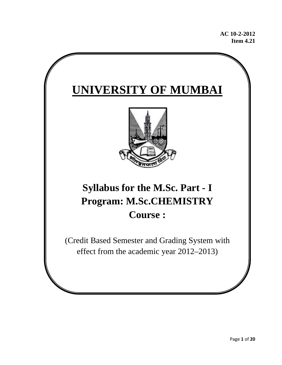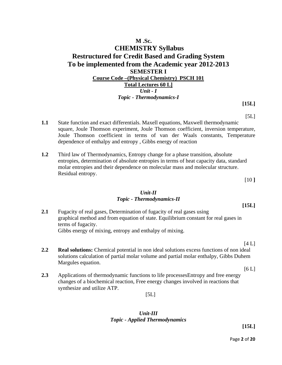# **M .Sc. CHEMISTRY Syllabus Restructured for Credit Based and Grading System To be implemented from the Academic year 2012-2013 SEMESTER I Course Code –(Physical Chemistry) PSCH 101 Total Lectures 60 L]** *Unit - I Topic - Thermodynamics-I*

**[15L]**   $[5L]$ 

- **1.1** State function and exact differentials. Maxell equations, Maxwell thermodynamic square, Joule Thomson experiment, Joule Thomson coefficient, inversion temperature, Joule Thomson coefficient in terms of van der Waals constants, Temperature dependence of enthalpy and entropy , Gibbs energy of reaction
- **1.2** Third law of Thermodynamics, Entropy change for a phase transition, absolute entropies, determination of absolute entropies in terms of heat capacity data, standard molar entropies and their dependence on molecular mass and molecular structure. Residual entropy.

[10 **]** 

#### *Unit-II Topic - Thermodynamics-II*

**[15L]** 

**2.1** Fugacity of real gases, Determination of fugacity of real gases using graphical method and from equation of state. Equilibrium constant for real gases in terms of fugacity. Gibbs energy of mixing, entropy and enthalpy of mixing.

 $[4 L]$ 

**2.2 Real solutions:** Chemical potential in non ideal solutions excess functions of non ideal solutions calculation of partial molar volume and partial molar enthalpy, Gibbs Duhem Margules equation.

 $[6 L]$ 

**2.3** Applications of thermodynamic functions to life processesEntropy and free energy changes of a biochemical reaction, Free energy changes involved in reactions that synthesize and utilize ATP.

 $[5L]$ 

### *Unit-III Topic - Applied Thermodynamics*

**[15L]**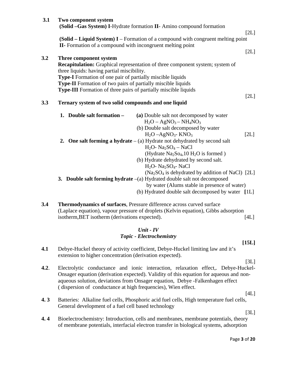| 3.1 | Two component system<br>(Solid -Gas System) I-Hydrate formation II- Amino compound formation                                                                                                                                                                                                                                                                         | [2L] |
|-----|----------------------------------------------------------------------------------------------------------------------------------------------------------------------------------------------------------------------------------------------------------------------------------------------------------------------------------------------------------------------|------|
|     | (Solid $-$ Liquid System) I – Formation of a compound with congruent melting point<br><b>II-</b> Formation of a compound with incongruent melting point                                                                                                                                                                                                              |      |
| 3.2 | Three component system<br>Recapitulation: Graphical representation of three component system; system of<br>three liquids: having partial miscibility.<br>Type-I Formation of one pair of partially miscible liquids<br><b>Type-II</b> Formation of two pairs of partially miscible liquids<br><b>Type-III</b> Formation of three pairs of partially miscible liquids | [2L] |
| 3.3 | Ternary system of two solid compounds and one liquid                                                                                                                                                                                                                                                                                                                 | [2L] |
|     | 1. Double salt formation -<br>(a) Double salt not decomposed by water<br>$H_2O - AgNO_3 - NH_4NO_3$<br>(b) Double salt decomposed by water<br>$H2O - AgNO3$ - KNO <sub>3</sub>                                                                                                                                                                                       | [2L] |
|     | 2. One salt forming a hydrate $-(a)$ Hydrate not dehydrated by second salt<br>$H_2O$ - Na <sub>2</sub> SO <sub>4</sub> - NaCl<br>(Hydrate $Na2So4, 10 H2O$ is formed)<br>(b) Hydrate dehydrated by second salt.<br>H <sub>2</sub> O- Na <sub>2</sub> SO <sub>4</sub> - NaCl                                                                                          |      |
|     | (Na <sub>2</sub> SO <sub>4</sub> is dehydrated by addition of NaCl) [2L]<br>3. Double salt forming hydrate $-(a)$ Hydrated double salt not decomposed<br>by water (Alums stable in presence of water)<br>(b) Hydrated double salt decomposed by water [1L]                                                                                                           |      |
| 3.4 | Thermodynamics of surfaces, Pressure difference across curved surface                                                                                                                                                                                                                                                                                                |      |

(Laplace equation), vapour pressure of droplets (Kelvin equation), Gibbs adsorption isotherm,BET isotherm (derivations expected). [4L]

### *Unit - IV Topic - Electrochemistry*

**[15L]** 

**4.1** Debye-Huckel theory of activity coefficient, Debye-Huckel limiting law and it's extension to higher concentration (derivation expected).

 $[3L]$ 

- **4.2**. Electrolytic conductance and ionic interaction, relaxation effect,. Debye-Huckel- Onsager equation (derivation expected). Validity of this equation for aqueous and non aqueous solution, deviations from Onsager equation, Debye -Falkenhagen effect ( dispersion of conductance at high frequencies), Wien effect.
- **4. 3** Batteries: Alkaline fuel cells, Phosphoric acid fuel cells, High temperature fuel cells, General development of a fuel cell based technology

 $[3L]$ 

 $[4L]$ 

**4. 4** Bioelectrochemistry: Introduction, cells and membranes, membrane potentials, theory of membrane potentials, interfacial electron transfer in biological systems, adsorption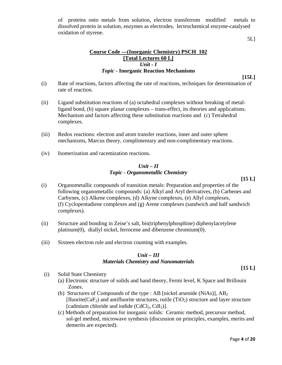of proteins onto metals from solution, electron transferrom modified metals to dissolved protein in solution, enzymes as electrodes, lectrochemical enzyme-catalysed oxidation of styrene.

5L]

### **Course Code ––(Inorganic Chemistry) PSCH 102 [Total Lectures 60 L]** *Unit - I Topic -* **Inorganic Reaction Mechanisms**

**[15L]** 

- (i) Rate of reactions, factors affecting the rate of reactions, techniques for determination of rate of reaction.
- (ii) Ligand substitution reactions of (a) octahedral complexes without breaking of metalligand bond, (b) square planar complexes – trans-effect, its theories and applications. Mechanism and factors affecting these substitution reactions and (c) Tetrahedral complexes.
- (iii) Redox reactions: electron and atom transfer reactions, inner and outer sphere mechanisms, Marcus theory, complimentary and non-complimentary reactions.
- (iv) Isomerization and racemization reactions.

### *Unit – II Topic - Organometallic Chemistry*

**[15 L]**

- (i) Organometallic compounds of transition metals: Preparation and properties of the following organometallic compounds: (a) Alkyl and Aryl derivatives, (b) Carbenes and Carbynes, (c) Alkene complexes, (d) Alkyne complexes, (e) Allyl complexes, (f) Cyclopentadiene complexes and (g) Arene complexes (sandwich and half sandwich complexes).
- (ii) Structure and bonding in Zeise's salt, bis(triphenylphosphine) diphenylacetylene platinum(0), diallyl nickel, ferrocene and dibenzene chromium(0).
- (iii) Sixteen electron rule and electron counting with examples.

#### *Unit – III Materials Chemistry and Nanomaterials*

**[15 L]** 

- (i) Solid State Chemistry
	- (a) Electronic structure of solids and band theory, Fermi level, K Space and Brillouin Zones.
	- (b) Structures of Compounds of the type : AB [nickel arsenide (NiAs)],  $AB_2$  $[\text{fluorite}(CaF_2)$  and antifluorite structures, rutile  $(TiO_2)$  structure and layer structure [cadmium chloride and iodide  $(CdCl<sub>2</sub>, CdI<sub>2</sub>)$ ].
	- (c) Methods of preparation for inorganic solids: Ceramic method, precursor method, sol-gel method, microwave synthesis (discussion on principles, examples, merits and demerits are expected).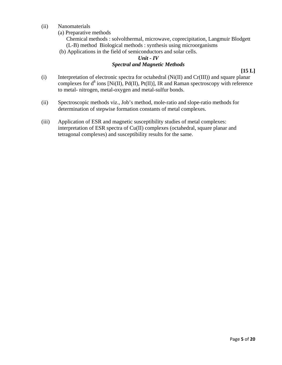- (ii) Nanomaterials
	- (a) Preparative methods

 Chemical methods : solvolthermal, microwave, coprecipitation, Langmuir Blodgett (L-B) method Biological methods : synthesis using microorganisms

(b) Applications in the field of semiconductors and solar cells.

### *Unit - IV Spectral and Magnetic Methods*

- (i) Interpretation of electronic spectra for octahedral (Ni(II) and Cr(III)) and square planar complexes for  $d^8$  ions [Ni(II), Pd(II), Pt(II)], IR and Raman spectroscopy with reference to metal- nitrogen, metal-oxygen and metal-sulfur bonds.
- (ii) Spectroscopic methods viz., Job's method, mole-ratio and slope-ratio methods for determination of stepwise formation constants of metal complexes.
- (iii) Application of ESR and magnetic susceptibility studies of metal complexes: interpretation of ESR spectra of Cu(II) complexes (octahedral, square planar and tetragonal complexes) and susceptibility results for the same.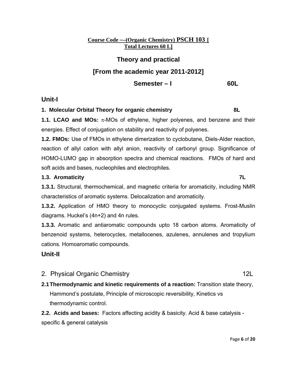### **Course Code ––(Organic Chemistry) PSCH 103 [ Total Lectures 60 L]**

# **Theory and practical [From the academic year 2011-2012] Semester – I** 60L

# **Unit-I**

### **1. Molecular Orbital Theory for organic chemistry 8L**

**1.1. LCAO and MOs:** π-MOs of ethylene, higher polyenes, and benzene and their energies. Effect of conjugation on stability and reactivity of polyenes.

**1.2. FMOs:** Use of FMOs in ethylene dimerization to cyclobutane, Diels-Alder reaction, reaction of allyl cation with allyl anion, reactivity of carbonyl group. Significance of HOMO-LUMO gap in absorption spectra and chemical reactions. FMOs of hard and soft acids and bases, nucleophiles and electrophiles*.*

### **1.3. Aromaticity 7L**

**1.3.1.** Structural, thermochemical, and magnetic criteria for aromaticity, including NMR characteristics of aromatic systems. Delocalization and aromaticity.

**1.3.2.** Application of HMO theory to monocyclic conjugated systems. Frost-Muslin diagrams. Huckel's (4n+2) and 4n rules.

**1.3.3.** Aromatic and antiaromatic compounds upto 18 carbon atoms. Aromaticity of benzenoid systems, heterocycles, metallocenes, azulenes, annulenes and tropylium cations. Homoaromatic compounds.

# **Unit-II**

- 2. Physical Organic Chemistry **12L**
- **2.1 Thermodynamic and kinetic requirements of a reaction:** Transition state theory, Hammond's postulate, Principle of microscopic reversibility, Kinetics vs thermodynamic control.

**2.2. Acids and bases:** Factors affecting acidity & basicity. Acid & base catalysis specific & general catalysis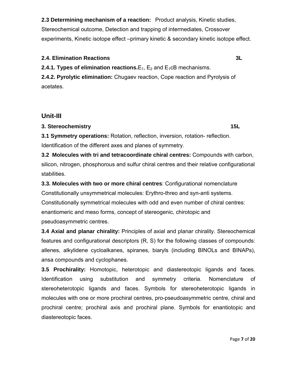**2.3 Determining mechanism of a reaction:** Product analysis, Kinetic studies, Stereochemical outcome, Detection and trapping of intermediates, Crossover experiments, Kinetic isotope effect –primary kinetic & secondary kinetic isotope effect.

### **2.4. Elimination Reactions 3L**

**2.4.1. Types of elimination reactions.**  $E_1$ ,  $E_2$  and  $E_1$ cB mechanisms.

**2.4.2. Pyrolytic elimination:** Chugaev reaction, Cope reaction and Pyrolysis of acetates.

# **Unit-III**

### **3. Stereochemistry 15L**

**3.1 Symmetry operations:** Rotation, reflection, inversion, rotation- reflection. Identification of the different axes and planes of symmetry.

**3.2 Molecules with tri and tetracoordinate chiral centres:** Compounds with carbon, silicon, nitrogen, phosphorous and sulfur chiral centres and their relative configurational stabilities.

**3.3. Molecules with two or more chiral centres**: Configurational nomenclature Constitutionally unsymmetrical molecules: Erythro-threo and syn-anti systems. Constitutionally symmetrical molecules with odd and even number of chiral centres: enantiomeric and meso forms, concept of stereogenic, chirotopic and pseudoasymmetric centres.

**3.4 Axial and planar chirality:** Principles of axial and planar chirality. Stereochemical features and configurational descriptors (R, S) for the following classes of compounds: allenes, alkylidene cycloalkanes, spiranes, biaryls (including BINOLs and BINAPs), ansa compounds and cyclophanes.

**3.5 Prochirality:** Homotopic, heterotopic and diastereotopic ligands and faces. Identification using substitution and symmetry criteria. Nomenclature of stereoheterotopic ligands and faces. Symbols for stereoheterotopic ligands in molecules with one or more prochiral centres, pro-pseudoasymmetric centre, chiral and prochiral centre; prochiral axis and prochiral plane. Symbols for enantiotopic and diastereotopic faces.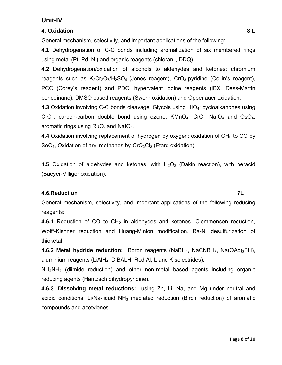# **Unit-IV**

# **4. Oxidation 8 L**

General mechanism, selectivity, and important applications of the following:

**4.1** Dehydrogenation of C-C bonds including aromatization of six membered rings using metal (Pt, Pd, Ni) and organic reagents (chloranil, DDQ).

**4.2** Dehydrogenation/oxidation of alcohols to aldehydes and ketones: chromium reagents such as  $K_2Cr_2O_7/H_2SO_4$  (Jones reagent),  $CrO_3$ -pyridine (Collin's reagent), PCC (Corey's reagent) and PDC, hypervalent iodine reagents (IBX, Dess-Martin periodinane). DMSO based reagents (Swern oxidation) and Oppenauer oxidation.

**4.3** Oxidation involving C-C bonds cleavage: Glycols using HIO<sub>4</sub>; cycloalkanones using CrO<sub>3</sub>; carbon-carbon double bond using ozone,  $KMnO<sub>4</sub>$ , CrO<sub>3</sub>, NaIO<sub>4</sub> and OsO<sub>4</sub>; aromatic rings using  $RuO<sub>4</sub>$  and NaI $O<sub>4</sub>$ .

**4.4** Oxidation involving replacement of hydrogen by oxygen: oxidation of CH<sub>2</sub> to CO by  $SeO<sub>2</sub>$ , Oxidation of aryl methanes by  $CrO<sub>2</sub>Cl<sub>2</sub>$  (Etard oxidation).

**4.5** Oxidation of aldehydes and ketones: with  $H_2O_2$  (Dakin reaction), with peracid (Baeyer-Villiger oxidation).

# **4.6.Reduction 7L**

General mechanism, selectivity, and important applications of the following reducing reagents:

**4.6.1** Reduction of CO to CH<sub>2</sub> in aldehydes and ketones -Clemmensen reduction, Wolff-Kishner reduction and Huang-Minlon modification. Ra-Ni desulfurization of thioketal

**4.6.2 Metal hydride reduction:** Boron reagents (NaBH<sub>4</sub>, NaCNBH<sub>3</sub>, Na(OAc)<sub>3</sub>BH), aluminium reagents (LiAlH4, DIBALH, Red Al, L and K selectrides).

 $NH<sub>2</sub>NH<sub>2</sub>$  (diimide reduction) and other non-metal based agents including organic reducing agents (Hantzsch dihydropyridine).

**4.6.3**. **Dissolving metal reductions:** using Zn, Li, Na, and Mg under neutral and acidic conditions, Li/Na-liquid  $NH<sub>3</sub>$  mediated reduction (Birch reduction) of aromatic compounds and acetylenes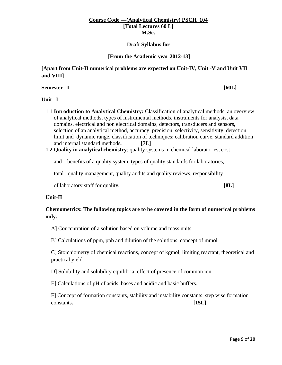#### **Course Code ––(Analytical Chemistry) PSCH 104 [Total Lectures 60 L] M.Sc.**

#### **Draft Syllabus for**

#### **[From the Academic year 2012-13]**

### **[Apart from Unit-II numerical problems are expected on Unit-IV, Unit -V and Unit VII and VIII]**

**Semester –I** [60L]

#### **Unit –I**

- 1.1 **Introduction to Analytical Chemistry:** Classification of analytical methods, an overview of analytical methods, types of instrumental methods, instruments for analysis, data domains, electrical and non electrical domains, detectors, transducers and sensors, selection of an analytical method, accuracy, precision, selectivity, sensitivity, detection limit and dynamic range, classification of techniques: calibration curve, standard addition and internal standard methods**. [7L]**
- **1.2 Quality in analytical chemistry**: quality systems in chemical laboratories, cost

and benefits of a quality system, types of quality standards for laboratories,

total quality management, quality audits and quality reviews, responsibility

of laboratory staff for quality**. [8L]** 

#### **Unit-II**

### **Chemometrics: The following topics are to be covered in the form of numerical problems only.**

A] Concentration of a solution based on volume and mass units.

B] Calculations of ppm, ppb and dilution of the solutions, concept of mmol

C] Stoichiometry of chemical reactions, concept of kgmol, limiting reactant, theoretical and practical yield.

D] Solubility and solubility equilibria, effect of presence of common ion.

E] Calculations of pH of acids, bases and acidic and basic buffers.

F] Concept of formation constants, stability and instability constants, step wise formation constants**. [15L]**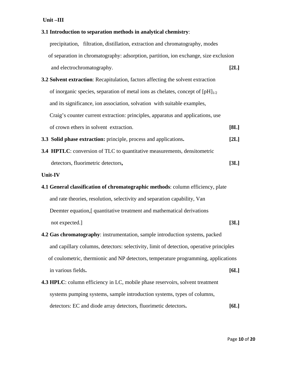|                                                                                  | 3.1 Introduction to separation methods in analytical chemistry:                         |      |  |
|----------------------------------------------------------------------------------|-----------------------------------------------------------------------------------------|------|--|
|                                                                                  | precipitation, filtration, distillation, extraction and chromatography, modes           |      |  |
|                                                                                  | of separation in chromatography: adsorption, partition, ion exchange, size exclusion    |      |  |
|                                                                                  | and electrochromatography.                                                              | [2L] |  |
| 3.2 Solvent extraction: Recapitulation, factors affecting the solvent extraction |                                                                                         |      |  |
|                                                                                  | of inorganic species, separation of metal ions as chelates, concept of $[pH]_{1/2}$     |      |  |
|                                                                                  | and its significance, ion association, solvation with suitable examples,                |      |  |
|                                                                                  | Craig's counter current extraction: principles, apparatus and applications, use         |      |  |
|                                                                                  | of crown ethers in solvent extraction.                                                  | [8L] |  |
|                                                                                  | 3.3 Solid phase extraction: principle, process and applications.                        | [2L] |  |
|                                                                                  | <b>3.4 HPTLC:</b> conversion of TLC to quantitative measurements, densitometric         |      |  |
|                                                                                  | detectors, fluorimetric detectors,                                                      | [3L] |  |
|                                                                                  | Unit-IV                                                                                 |      |  |
|                                                                                  | 4.1 General classification of chromatographic methods: column efficiency, plate         |      |  |
|                                                                                  | and rate theories, resolution, selectivity and separation capability, Van               |      |  |
|                                                                                  | Deemter equation, [ quantitative treatment and mathematical derivations                 |      |  |
|                                                                                  | not expected.]                                                                          | [3L] |  |
|                                                                                  | 4.2 Gas chromatography: instrumentation, sample introduction systems, packed            |      |  |
|                                                                                  | and capillary columns, detectors: selectivity, limit of detection, operative principles |      |  |
|                                                                                  | of coulometric, thermionic and NP detectors, temperature programming, applications      |      |  |
|                                                                                  | in various fields.                                                                      | [6L] |  |
|                                                                                  | <b>4.3 HPLC:</b> column efficiency in LC, mobile phase reservoirs, solvent treatment    |      |  |
|                                                                                  | systems pumping systems, sample introduction systems, types of columns,                 |      |  |
|                                                                                  | detectors: EC and diode array detectors, fluorimetic detectors.                         | [6L] |  |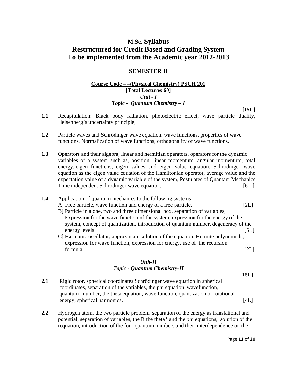# **M.Sc. Syllabus Restructured for Credit Based and Grading System To be implemented from the Academic year 2012-2013**

### **SEMESTER II**

### **Course Code – –(Physical Chemistry) PSCH 201 [Total Lectures 60]** *Unit - I Topic - Quantum Chemistry – I*

- **1.1** Recapitulation: Black body radiation, photoelectric effect, wave particle duality, Heisenberg's uncertainty principle,
- **1.2** Particle waves and Schrödinger wave equation, wave functions, properties of wave functions, Normalization of wave functions, orthogonality of wave functions.
- **1.3** Operators and their algebra, linear and hermitian operators, operators for the dynamic variables of a system such as, position, linear momentum, angular momentum, total energy, eigen functions, eigen values and eigen value equation, Schrödinger wave equation as the eigen value equation of the Hamiltonian operator, average value and the expectation value of a dynamic variable of the system, Postulates of Quantam Mechanics Time independent Schrödinger wave equation. The same state of  $[6 L]$

### **1.4** Application of quantum mechanics to the following systems:

- A] Free particle, wave function and energy of a free particle. [2L]
- B] Particle in a one, two and three dimensional box, separation of variables, Expression for the wave function of the system, expression for the energy of the system, concept of quantization, introduction of quantum number, degeneracy of the energy levels. [5L]
- C] Harmonic oscillator, approximate solution of the equation, Hermite polynomials, expression for wave function, expression for energy, use of the recursion formula, [2L]

#### *Unit-II Topic - Quantum Chemistry-II*

- **2.1** Rigid rotor, spherical coordinates Schrödinger wave equation in spherical coordinates, separation of the variables, the phi equation, wavefunction, quantum number, the theta equation, wave function, quantization of rotational energy, spherical harmonics. [4L]
- **2.2** Hydrogen atom, the two particle problem, separation of the energy as translational and potential, separation of variables, the R the theta\* and the phi equations, solution of the requation, introduction of the four quantum numbers and their interdependence on the

**[15L]** 

**[15L]**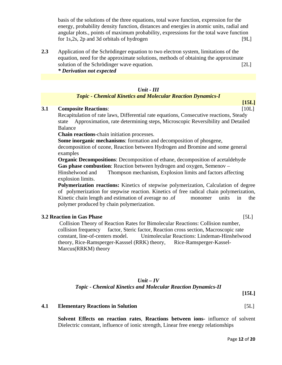basis of the solutions of the three equations, total wave function, expression for the energy, probability density function, distances and energies in atomic units, radial and angular plots., points of maximum probability, expressions for the total wave function for 1s,2s, 2p and 3d orbitals of hydrogen [9L]

**2.3** Application of the Schrödinger equation to two electron system, limitations of the equation, need for the approximate solutions, methods of obtaining the approximate solution of the Schrödinger wave equation. [2L] *\* Derivation not expected* 

### *Unit - III*

### *Topic - Chemical Kinetics and Molecular Reaction Dynamics-I*

#### **3.1 Composite Reactions**: [10L]

 Recapitulation of rate laws, Differential rate equations, Consecutive reactions, Steady state Approximation, rate determining steps, Microscopic Reversibility and Detailed Balance

**Chain reactions**-chain initiation processes.

 **Some inorganic mechanisms**: formation and decomposition of phosgene, decomposition of ozone, Reaction between Hydrogen and Bromine and some general examples

 **Organic Decompositions**: Decomposition of ethane, decomposition of acetaldehyde  **Gas phase combustion**: Reaction between hydrogen and oxygen, Semenov – Hinshelwood and Thompson mechanism, Explosion limits and factors affecting explosion limits.

**Polymerization reactions:** Kinetics of stepwise polymerization, Calculation of degree of polymerization for stepwise reaction. Kinetics of free radical chain polymerization, Kinetic chain length and estimation of average no .of monomer units in the polymer produced by chain polymerization.

#### **3.2 Reaction in Gas Phase** [5L]

 Collision Theory of Reaction Rates for Bimolecular Reactions: Collision number, collision frequency factor, Steric factor, Reaction cross section, Macroscopic rate constant, line-of-centers model. Unimolecular Reactions: Lindeman-Hinshelwood theory, Rice-Ramsperger-Kasssel (RRK) theory, Rice-Ramsperger-Kassel-Marcus(RRKM) theory

### *Unit – IV Topic - Chemical Kinetics and Molecular Reaction Dynamics-II*

**[15L]** 

#### **4.1 Elementary Reactions in Solution** [5L]

**Solvent Effects on reaction rates**, **Reactions between ions-** influence of solvent Dielectric constant, influence of ionic strength, Linear free energy relationships

**[15L]**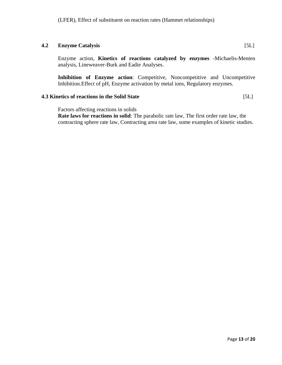### **4.2 Enzyme Catalysis** [5L]

Enzyme action, **Kinetics of reactions catalyzed by enzymes** -Michaelis-Menten analysis, Lineweaver-Burk and Eadie Analyses.

**Inhibition of Enzyme action:** Competitive, Noncompetitive and Uncompetitive Inhibition.Effect of pH, Enzyme activation by metal ions, Regulatory enzymes.

### **4.3 Kinetics of reactions in the Solid State** [5L]

Factors affecting reactions in solids

**Rate laws for reactions in solid**: The parabolic rate law, The first order rate law, the contracting sphere rate law, Contracting area rate law, some examples of kinetic studies.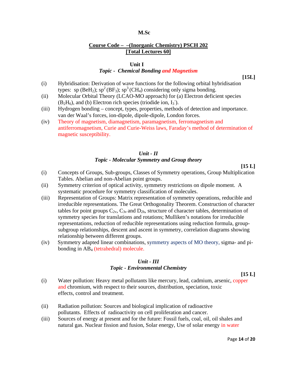### **Course Code – –(Inorganic Chemistry) PSCH 202 [Total Lectures 60]**

#### **Unit I**

#### *Topic - Chemical Bonding and Magnetism*

**[15L]** 

- (i) Hybridisation: Derivation of wave functions for the following orbital hybridisation types: sp (BeH<sub>2</sub>); sp<sup>2</sup> (BF<sub>3</sub>); sp<sup>3</sup> (CH<sub>4</sub>) considering only sigma bonding.
- (ii) Molecular Orbital Theory (LCAO-MO approach) for (a) Electron deficient species  $(B<sub>2</sub>H<sub>6</sub>)$ , and (b) Electron rich species (triodide ion, I<sub>3</sub>).
- (iii) Hydrogen bonding concept, types, properties, methods of detection and importance. van der Waal's forces, ion-dipole, dipole-dipole, London forces.
- (iv) Theory of magnetism, diamagnetism, paramagnetism, ferromagnetism and antiferromagnetism, Curie and Curie-Weiss laws, Faraday's method of determination of magnetic susceptibility.

### *Unit - II Topic - Molecular Symmetry and Group theory*

**[15 L]** 

- (i) Concepts of Groups, Sub-groups, Classes of Symmetry operations, Group Multiplication Tables. Abelian and non-Abelian point groups.
- (ii) Symmetry criterion of optical activity, symmetry restrictions on dipole moment. A systematic procedure for symmetry classification of molecules.
- (iii) Representation of Groups: Matrix representation of symmetry operations, reducible and irreducible representations. The Great Orthogonality Theorem. Construction of character tables for point groups  $C_{2v}$ ,  $C_{3v}$  and  $D_{2h}$ , structure of character tables, determination of symmetry species for translations and rotations; Mulliken's notations for irreducible representations, reduction of reducible representations using reduction formula, groupsubgroup relationships, descent and ascent in symmetry, correlation diagrams showing relationship between different groups.
- (iv) Symmetry adapted linear combinations, symmetry aspects of MO theory, sigma- and pibonding in AB4 (tetrahedral) molecule.

#### *Unit - III Topic - Environmental Chemistry*

**[15 L]** 

- (i) Water pollution: Heavy metal pollutants like mercury, lead, cadmium, arsenic, copper and chromium, with respect to their sources, distribution, speciation, toxic effects, control and treatment.
- (ii) Radiation pollution: Sources and biological implication of radioactive pollutants. Effects of radioactivity on cell proliferation and cancer.
- (iii) Sources of energy at present and for the future: Fossil fuels, coal, oil, oil shales and natural gas. Nuclear fission and fusion, Solar energy, Use of solar energy in water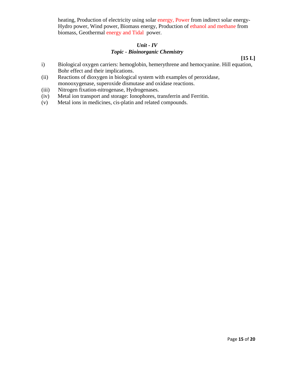heating, Production of electricity using solar energy, Power from indirect solar energy-Hydro power, Wind power, Biomass energy, Production of ethanol and methane from biomass, Geothermal energy and Tidal power.

### *Unit - IV Topic - Bioinorganic Chemistry*

**[15 L]** 

- i) Biological oxygen carriers: hemoglobin, hemerythrene and hemocyanine. Hill equation, Bohr effect and their implications.
- (ii) Reactions of dioxygen in biological system with examples of peroxidase, monooxygenase, superoxide dismutase and oxidase reactions.
- (iii) Nitrogen fixation-nitrogenase, Hydrogenases.
- (iv) Metal ion transport and storage: Ionophores, transferrin and Ferritin.
- (v) Metal ions in medicines, cis-platin and related compounds.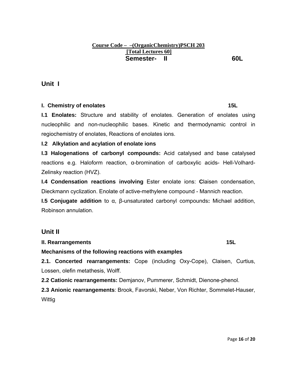### **Course Code – –(OrganicChemistry)PSCH 203 [Total Lectures 60] Semester- II** 60L

# **Unit I**

### **I. Chemistry of enolates 15L and 15L**

**I.1 Enolates:** Structure and stability of enolates. Generation of enolates using nucleophilic and non-nucleophilic bases. Kinetic and thermodynamic control in regiochemistry of enolates, Reactions of enolates ions.

# **I.2 Alkylation and acylation of enolate ions**

**I.3 Halogenations of carbonyl compounds:** Acid catalysed and base catalysed reactions e.g. Haloform reaction, α-bromination of carboxylic acids- Hell-Volhard-Zelinsky reaction (HVZ).

**I.4 Condensation reactions involving** Ester enolate ions: **C**laisen condensation, Dieckmann cyclization. Enolate of active-methylene compound - Mannich reaction.

**I.5 Conjugate addition** to α, β-unsaturated carbonyl compounds**:** Michael addition, Robinson annulation.

# **Unit II**

### **II. Rearrangements** 15L

# **Mechanisms of the following reactions with examples**

**2.1. Concerted rearrangements:** Cope (including Oxy-Cope), Claisen, Curtius, Lossen, olefin metathesis, Wolff.

**2.2 Cationic rearrangements:** Demjanov, Pummerer, Schmidt, Dienone-phenol.

**2.3 Anionic rearrangements**: Brook, Favorski, Neber, Von Richter, Sommelet-Hauser, Wittig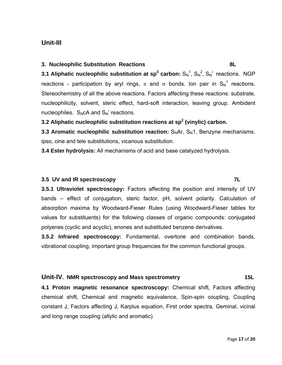# **Unit-III**

### **3. Nucleophilic Substitution Reactions 8L**

**3.1 Aliphatic nucleophilic substitution at sp<sup>3</sup> carbon:**  $S_N^1$ ,  $S_N^2$ ,  $S_N^1$  reactions. NGP reactions - participation by aryl rings,  $\pi$  and  $\sigma$  bonds. Ion pair in  ${S_N}^1$  reactions. Stereochemistry of all the above reactions. Factors affecting these reactions: substrate, nucleophilicity, solvent, steric effect, hard-soft interaction, leaving group. Ambident nucleophiles.  $S_NCA$  and  $S_N$ ' reactions.

### **3.2 Aliphatic nucleophilic substitution reactions at sp2 (vinylic) carbon.**

**3.3 Aromatic nucleophilic substitution reaction:** S<sub>N</sub>Ar, S<sub>N</sub>1, Benzyne mechanisms. ipso, cine and tele substitutions, vicarious substitution.

**3.4 Ester hydrolysis:** All mechanisms of acid and base catalyzed hydrolysis.

### **3.5 UV and IR spectroscopy 7L**

**3.5.1 Ultraviolet spectroscopy:** Factors affecting the position and intensity of UV bands – effect of conjugation, steric factor, pH, solvent polarity. Calculation of absorption maxima by Woodward-Fieser Rules (using Woodward-Fieser tables for values for substituents) for the following classes of organic compounds: conjugated polyenes (cyclic and acyclic), enones and substituted benzene derivatives.

**3.5.2 Infrared spectroscopy:** Fundamental, overtone and combination bands, vibrational coupling, important group frequencies for the common functional groups.

### **Unit-IV. NMR spectroscopy and Mass spectrometry 15L**

**4.1 Proton magnetic resonance spectroscopy:** Chemical shift, Factors affecting chemical shift, Chemical and magnetic equivalence, Spin-spin coupling, Coupling constant J, Factors affecting J, Karplus equation, First order spectra, Geminal, vicinal and long range coupling (allylic and aromatic)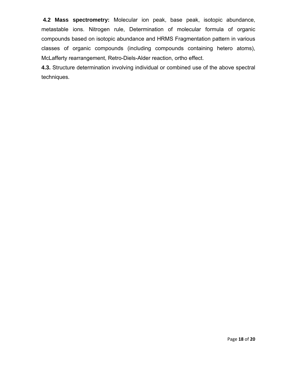**4.2 Mass spectrometry:** Molecular ion peak, base peak, isotopic abundance, metastable ions. Nitrogen rule, Determination of molecular formula of organic compounds based on isotopic abundance and HRMS Fragmentation pattern in various classes of organic compounds (including compounds containing hetero atoms), McLafferty rearrangement, Retro-Diels-Alder reaction, ortho effect.

**4.3.** Structure determination involving individual or combined use of the above spectral techniques.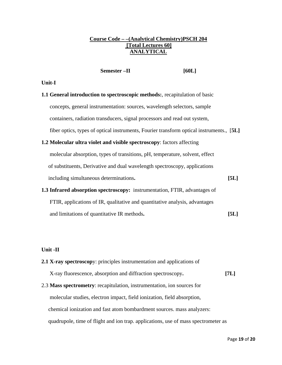### **Course Code – –(Analytical Chemistry)PSCH 204 [Total Lectures 60] ANALYTICAL**

**Semester –II** [60L]

#### **Unit-I**

- **1.1 General introduction to spectroscopic methods:**, recapitulation of basic concepts, general instrumentation: sources, wavelength selectors, sample containers, radiation transducers, signal processors and read out system, fiber optics, types of optical instruments, Fourier transform optical instruments., [**5L] 1.2 Molecular ultra violet and visible spectroscopy**: factors affecting
	- molecular absorption, types of transitions, pH, temperature, solvent, effect of substituents, Derivative and dual wavelength spectroscopy, applications including simultaneous determinations**. [5L]**
- **1.3 Infrared absorption spectroscopy:** instrumentation, FTIR, advantages of FTIR, applications of IR, qualitative and quantitative analysis, advantages and limitations of quantitative IR methods**. [5L]**

#### **Unit -II**

**2.1 X-ray spectroscop**y: principles instrumentation and applications of X-ray fluorescence, absorption and diffraction spectroscopy**. [7L]**  2.3 **Mass spectrometry**: recapitulation, instrumentation, ion sources for molecular studies, electron impact, field ionization, field absorption, chemical ionization and fast atom bombardment sources. mass analyzers: quadrupole, time of flight and ion trap. applications, use of mass spectrometer as